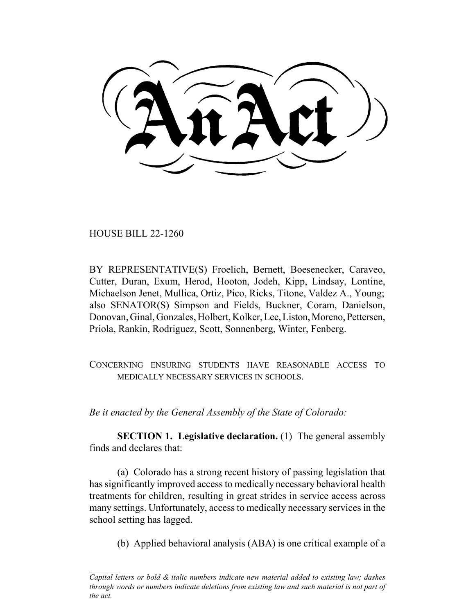HOUSE BILL 22-1260

BY REPRESENTATIVE(S) Froelich, Bernett, Boesenecker, Caraveo, Cutter, Duran, Exum, Herod, Hooton, Jodeh, Kipp, Lindsay, Lontine, Michaelson Jenet, Mullica, Ortiz, Pico, Ricks, Titone, Valdez A., Young; also SENATOR(S) Simpson and Fields, Buckner, Coram, Danielson, Donovan, Ginal, Gonzales, Holbert, Kolker, Lee, Liston, Moreno, Pettersen, Priola, Rankin, Rodriguez, Scott, Sonnenberg, Winter, Fenberg.

CONCERNING ENSURING STUDENTS HAVE REASONABLE ACCESS TO MEDICALLY NECESSARY SERVICES IN SCHOOLS.

*Be it enacted by the General Assembly of the State of Colorado:*

**SECTION 1. Legislative declaration.** (1) The general assembly finds and declares that:

(a) Colorado has a strong recent history of passing legislation that has significantly improved access to medically necessary behavioral health treatments for children, resulting in great strides in service access across many settings. Unfortunately, access to medically necessary services in the school setting has lagged.

(b) Applied behavioral analysis (ABA) is one critical example of a

*Capital letters or bold & italic numbers indicate new material added to existing law; dashes through words or numbers indicate deletions from existing law and such material is not part of the act.*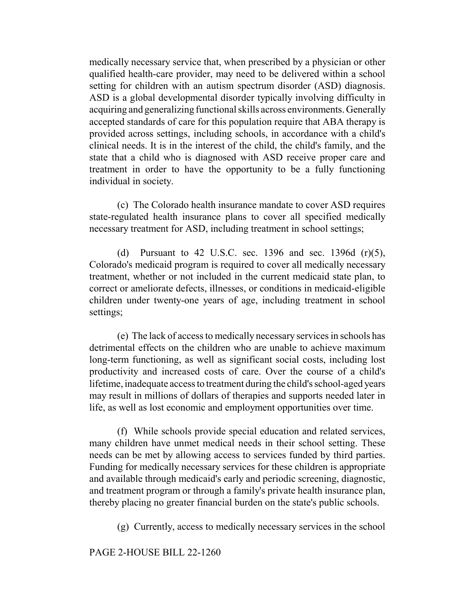medically necessary service that, when prescribed by a physician or other qualified health-care provider, may need to be delivered within a school setting for children with an autism spectrum disorder (ASD) diagnosis. ASD is a global developmental disorder typically involving difficulty in acquiring and generalizing functional skills across environments. Generally accepted standards of care for this population require that ABA therapy is provided across settings, including schools, in accordance with a child's clinical needs. It is in the interest of the child, the child's family, and the state that a child who is diagnosed with ASD receive proper care and treatment in order to have the opportunity to be a fully functioning individual in society.

(c) The Colorado health insurance mandate to cover ASD requires state-regulated health insurance plans to cover all specified medically necessary treatment for ASD, including treatment in school settings;

(d) Pursuant to 42 U.S.C. sec. 1396 and sec. 1396d  $(r)(5)$ , Colorado's medicaid program is required to cover all medically necessary treatment, whether or not included in the current medicaid state plan, to correct or ameliorate defects, illnesses, or conditions in medicaid-eligible children under twenty-one years of age, including treatment in school settings;

(e) The lack of access to medically necessary services in schools has detrimental effects on the children who are unable to achieve maximum long-term functioning, as well as significant social costs, including lost productivity and increased costs of care. Over the course of a child's lifetime, inadequate access to treatment during the child's school-aged years may result in millions of dollars of therapies and supports needed later in life, as well as lost economic and employment opportunities over time.

(f) While schools provide special education and related services, many children have unmet medical needs in their school setting. These needs can be met by allowing access to services funded by third parties. Funding for medically necessary services for these children is appropriate and available through medicaid's early and periodic screening, diagnostic, and treatment program or through a family's private health insurance plan, thereby placing no greater financial burden on the state's public schools.

(g) Currently, access to medically necessary services in the school

## PAGE 2-HOUSE BILL 22-1260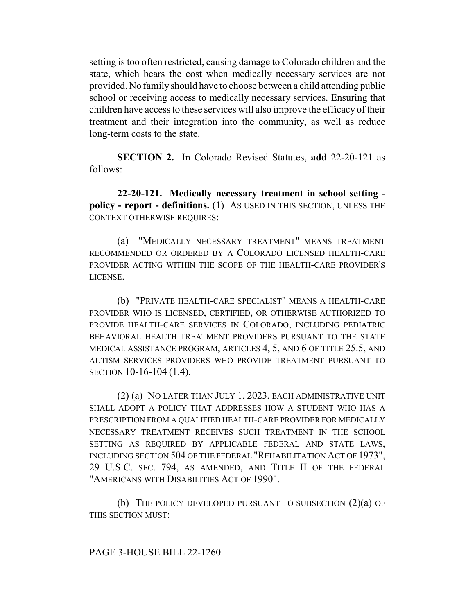setting is too often restricted, causing damage to Colorado children and the state, which bears the cost when medically necessary services are not provided. No family should have to choose between a child attending public school or receiving access to medically necessary services. Ensuring that children have access to these services will also improve the efficacy of their treatment and their integration into the community, as well as reduce long-term costs to the state.

**SECTION 2.** In Colorado Revised Statutes, **add** 22-20-121 as follows:

**22-20-121. Medically necessary treatment in school setting policy - report - definitions.** (1) AS USED IN THIS SECTION, UNLESS THE CONTEXT OTHERWISE REQUIRES:

(a) "MEDICALLY NECESSARY TREATMENT" MEANS TREATMENT RECOMMENDED OR ORDERED BY A COLORADO LICENSED HEALTH-CARE PROVIDER ACTING WITHIN THE SCOPE OF THE HEALTH-CARE PROVIDER'S LICENSE.

(b) "PRIVATE HEALTH-CARE SPECIALIST" MEANS A HEALTH-CARE PROVIDER WHO IS LICENSED, CERTIFIED, OR OTHERWISE AUTHORIZED TO PROVIDE HEALTH-CARE SERVICES IN COLORADO, INCLUDING PEDIATRIC BEHAVIORAL HEALTH TREATMENT PROVIDERS PURSUANT TO THE STATE MEDICAL ASSISTANCE PROGRAM, ARTICLES 4, 5, AND 6 OF TITLE 25.5, AND AUTISM SERVICES PROVIDERS WHO PROVIDE TREATMENT PURSUANT TO SECTION 10-16-104 (1.4).

(2) (a) NO LATER THAN JULY 1, 2023, EACH ADMINISTRATIVE UNIT SHALL ADOPT A POLICY THAT ADDRESSES HOW A STUDENT WHO HAS A PRESCRIPTION FROM A QUALIFIED HEALTH-CARE PROVIDER FOR MEDICALLY NECESSARY TREATMENT RECEIVES SUCH TREATMENT IN THE SCHOOL SETTING AS REQUIRED BY APPLICABLE FEDERAL AND STATE LAWS, INCLUDING SECTION 504 OF THE FEDERAL "REHABILITATION ACT OF 1973", 29 U.S.C. SEC. 794, AS AMENDED, AND TITLE II OF THE FEDERAL "AMERICANS WITH DISABILITIES ACT OF 1990".

(b) THE POLICY DEVELOPED PURSUANT TO SUBSECTION  $(2)(a)$  OF THIS SECTION MUST: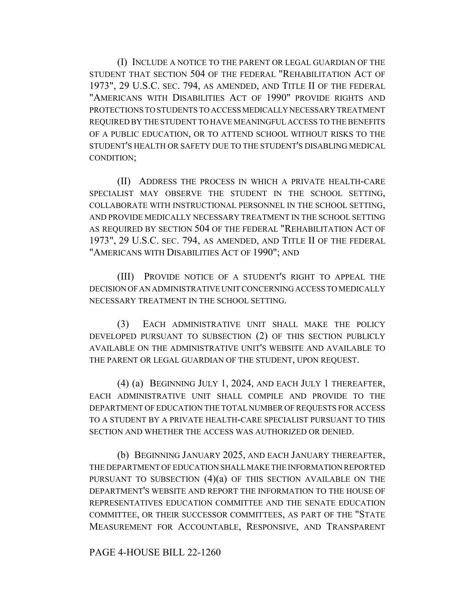(I) INCLUDE A NOTICE TO THE PARENT OR LEGAL GUARDIAN OF THE STUDENT THAT SECTION 504 OF THE FEDERAL "REHABILITATION ACT OF 1973", 29 U.S.C. SEC. 794, AS AMENDED, AND TITLE II OF THE FEDERAL "AMERICANS WITH DISABILITIES ACT OF 1990" PROVIDE RIGHTS AND PROTECTIONS TO STUDENTS TO ACCESS MEDICALLY NECESSARY TREATMENT REQUIRED BY THE STUDENT TO HAVE MEANINGFUL ACCESS TO THE BENEFITS OF A PUBLIC EDUCATION, OR TO ATTEND SCHOOL WITHOUT RISKS TO THE STUDENT'S HEALTH OR SAFETY DUE TO THE STUDENT'S DISABLING MEDICAL CONDITION;

(II) ADDRESS THE PROCESS IN WHICH A PRIVATE HEALTH-CARE SPECIALIST MAY OBSERVE THE STUDENT IN THE SCHOOL SETTING, COLLABORATE WITH INSTRUCTIONAL PERSONNEL IN THE SCHOOL SETTING, AND PROVIDE MEDICALLY NECESSARY TREATMENT IN THE SCHOOL SETTING AS REQUIRED BY SECTION 504 OF THE FEDERAL "REHABILITATION ACT OF 1973", 29 U.S.C. SEC. 794, AS AMENDED, AND TITLE II OF THE FEDERAL "AMERICANS WITH DISABILITIES ACT OF 1990"; AND

(III) PROVIDE NOTICE OF A STUDENT'S RIGHT TO APPEAL THE DECISION OF AN ADMINISTRATIVE UNIT CONCERNING ACCESS TO MEDICALLY NECESSARY TREATMENT IN THE SCHOOL SETTING.

(3) EACH ADMINISTRATIVE UNIT SHALL MAKE THE POLICY DEVELOPED PURSUANT TO SUBSECTION (2) OF THIS SECTION PUBLICLY AVAILABLE ON THE ADMINISTRATIVE UNIT'S WEBSITE AND AVAILABLE TO THE PARENT OR LEGAL GUARDIAN OF THE STUDENT, UPON REQUEST.

(4) (a) BEGINNING JULY 1, 2024, AND EACH JULY 1 THEREAFTER, EACH ADMINISTRATIVE UNIT SHALL COMPILE AND PROVIDE TO THE DEPARTMENT OF EDUCATION THE TOTAL NUMBER OF REQUESTS FOR ACCESS TO A STUDENT BY A PRIVATE HEALTH-CARE SPECIALIST PURSUANT TO THIS SECTION AND WHETHER THE ACCESS WAS AUTHORIZED OR DENIED.

(b) BEGINNING JANUARY 2025, AND EACH JANUARY THEREAFTER, THE DEPARTMENT OF EDUCATION SHALL MAKE THE INFORMATION REPORTED PURSUANT TO SUBSECTION  $(4)(a)$  OF THIS SECTION AVAILABLE ON THE DEPARTMENT'S WEBSITE AND REPORT THE INFORMATION TO THE HOUSE OF REPRESENTATIVES EDUCATION COMMITTEE AND THE SENATE EDUCATION COMMITTEE, OR THEIR SUCCESSOR COMMITTEES, AS PART OF THE "STATE MEASUREMENT FOR ACCOUNTABLE, RESPONSIVE, AND TRANSPARENT

PAGE 4-HOUSE BILL 22-1260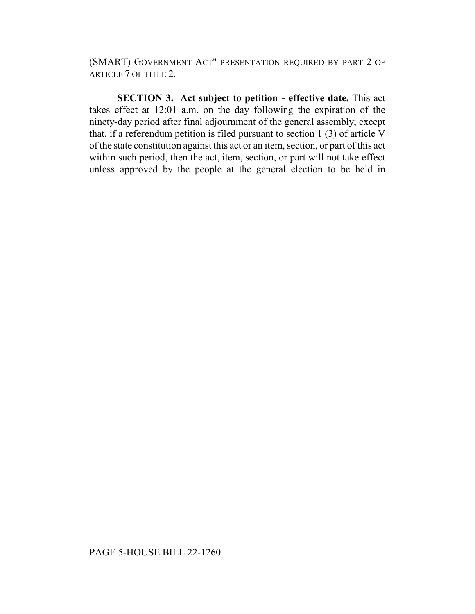(SMART) GOVERNMENT ACT" PRESENTATION REQUIRED BY PART 2 OF ARTICLE 7 OF TITLE 2.

**SECTION 3. Act subject to petition - effective date.** This act takes effect at 12:01 a.m. on the day following the expiration of the ninety-day period after final adjournment of the general assembly; except that, if a referendum petition is filed pursuant to section 1 (3) of article V of the state constitution against this act or an item, section, or part of this act within such period, then the act, item, section, or part will not take effect unless approved by the people at the general election to be held in